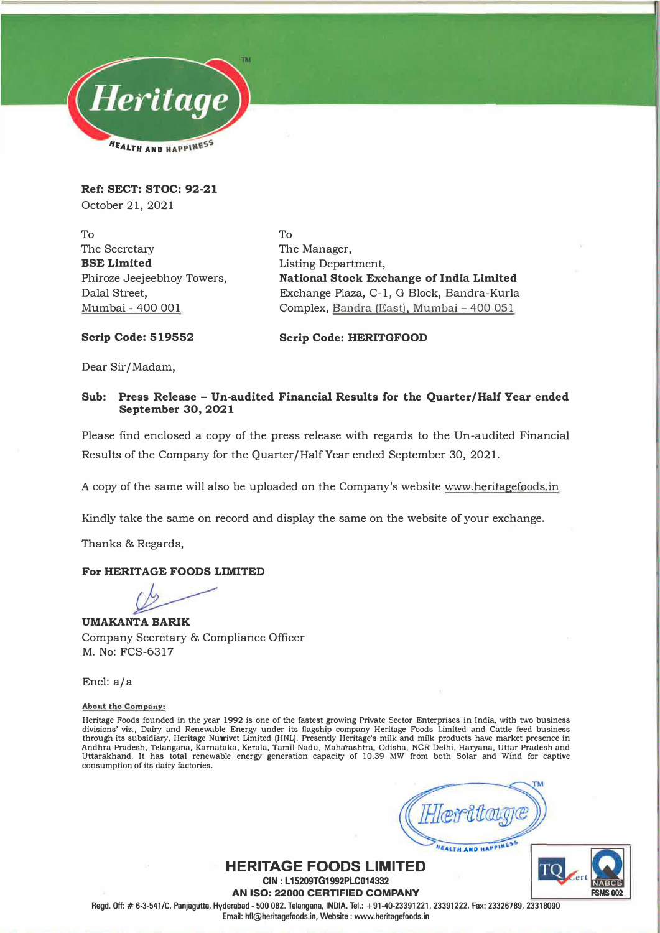

**Ref: SECT: STOC: 92-21**  October 21, 2021

To The Secretary **BSE Limited**  Phiroze Jeejeebhoy Towers, Dalal Street, Mumbai - 400 001

To The Manager, Listing Department, **National Stock Exchange of India Limited**  Exchange Plaza, C-1, G Block, Bandra-Kurla Complex, Bandra (East), Mumbai - 400 051

**Scrip Code: 519552** 

**Scrip Code: HERITGFOOD** 

Dear Sir/Madam,

#### **Sub: Press Release - Un-audited Financial Results for the Quarter/Half Year ended September 30, 2021**

Please find enclosed a copy of the press release with regards to the Un-audited Financial Results of the Company for the Quarter/Half Year ended September 30, 2021.

A copy of the same will also be uploaded on the Company's website www.heritagefoods.in

Kindly take the same on record and display the same on the website of your exchange.

Thanks & Regards,

#### **For HERITAGE FOODS LIMITED**

**UMAKANTA BARIK**  Company Secretary & Compliance Officer M. No: FCS-6317

Encl: a/a

**About the Company:** 

Heritage Foods founded in the year 1992 is one of the fastest growing Private Sector Enterprises in India, with two business divisions' viz., Dairy and Renewable Energy under its flagship company Heritage Foods Limited and Cattle feed business through its subsidiary, Heritage Nutrivet Limited (HNL). Presently Heritage's milk and milk products have market presence in Andhra Pradesh, Telangana, Karnataka, Kerala, Tamil Nadu, Maharashtra, Odisha, NCR Delhi, Haryana, Uttar Pradesh and Uttarakhand. It has total renewable energy generation capacity of 10.39 MW from both Solar and Wind for captive consumption of its dairy factories.

**FEALTH AND HAPPINES!** 

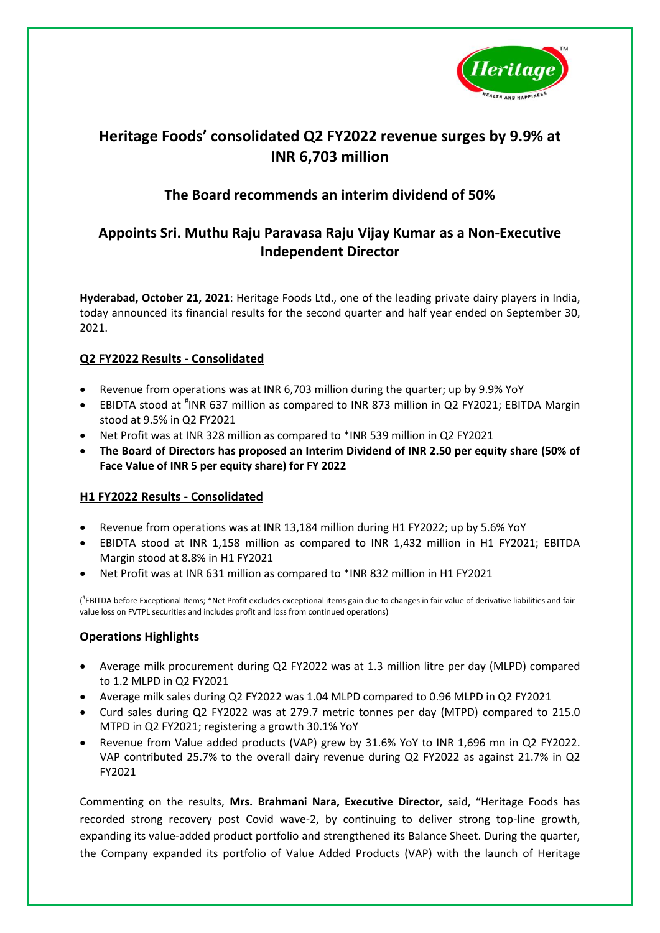

# **Heritage Foods' consolidated Q2 FY2022 revenue surges by 9.9% at INR 6,703 million**

## **The Board recommends an interim dividend of 50%**

## **Appoints Sri. Muthu Raju Paravasa Raju Vijay Kumar as a Non-Executive Independent Director**

**Hyderabad, October 21, 2021**: Heritage Foods Ltd., one of the leading private dairy players in India, today announced its financial results for the second quarter and half year ended on September 30, 2021.

## **Q2 FY2022 Results - Consolidated**

- Revenue from operations was at INR 6,703 million during the quarter; up by 9.9% YoY
- EBIDTA stood at <sup>#</sup>INR 637 million as compared to INR 873 million in Q2 FY2021; EBITDA Margin stood at 9.5% in Q2 FY2021
- Net Profit was at INR 328 million as compared to \*INR 539 million in Q2 FY2021
- **The Board of Directors has proposed an Interim Dividend of INR 2.50 per equity share (50% of Face Value of INR 5 per equity share) for FY 2022**

### **H1 FY2022 Results - Consolidated**

- Revenue from operations was at INR 13,184 million during H1 FY2022; up by 5.6% YoY
- EBIDTA stood at INR 1,158 million as compared to INR 1,432 million in H1 FY2021; EBITDA Margin stood at 8.8% in H1 FY2021
- Net Profit was at INR 631 million as compared to \*INR 832 million in H1 FY2021

( # EBITDA before Exceptional Items; \*Net Profit excludes exceptional items gain due to changes in fair value of derivative liabilities and fair value loss on FVTPL securities and includes profit and loss from continued operations)

### **Operations Highlights**

- Average milk procurement during Q2 FY2022 was at 1.3 million litre per day (MLPD) compared to 1.2 MLPD in Q2 FY2021
- Average milk sales during Q2 FY2022 was 1.04 MLPD compared to 0.96 MLPD in Q2 FY2021
- Curd sales during Q2 FY2022 was at 279.7 metric tonnes per day (MTPD) compared to 215.0 MTPD in Q2 FY2021; registering a growth 30.1% YoY
- Revenue from Value added products (VAP) grew by 31.6% YoY to INR 1,696 mn in Q2 FY2022. VAP contributed 25.7% to the overall dairy revenue during Q2 FY2022 as against 21.7% in Q2 FY2021

Commenting on the results, **Mrs. Brahmani Nara, Executive Director**, said, "Heritage Foods has recorded strong recovery post Covid wave-2, by continuing to deliver strong top-line growth, expanding its value-added product portfolio and strengthened its Balance Sheet. During the quarter, the Company expanded its portfolio of Value Added Products (VAP) with the launch of Heritage